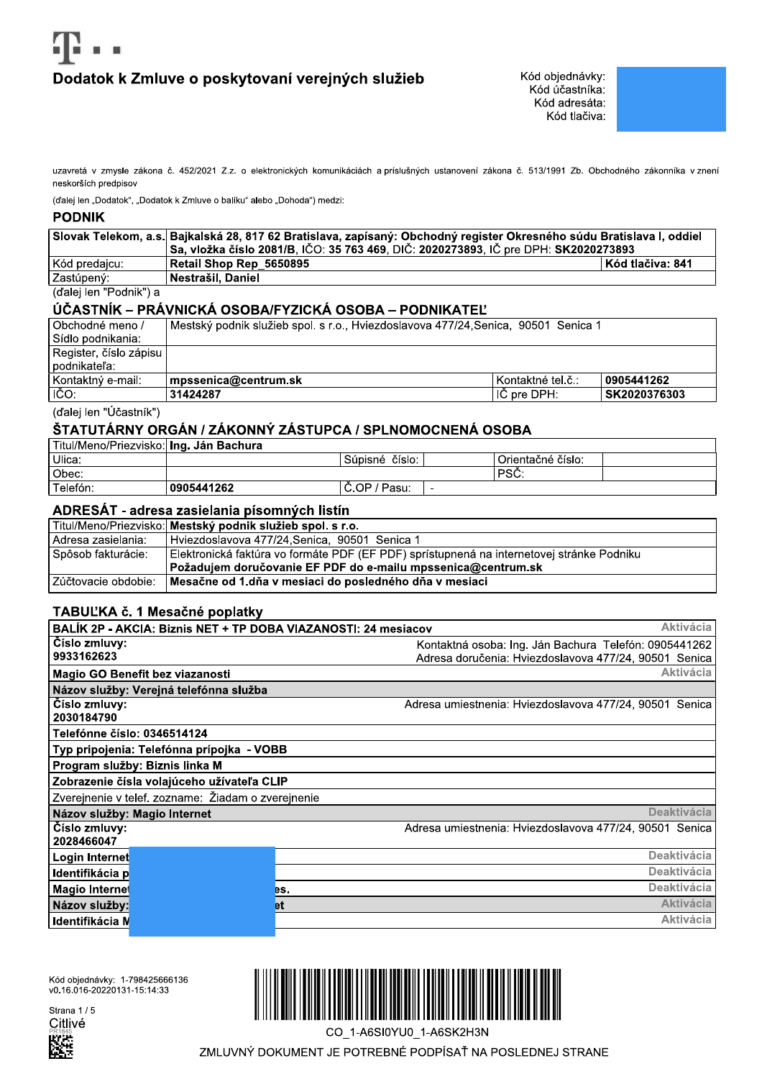# Dodatok k Zmluve o poskytovaní verejných služieb

uzavretá v zmysle zákona č. 452/2021 Z.z. o elektronických komunikáciách a príslušných ustanovení zákona č. 513/1991 Zb. Obchodného zákonníka v znení neskorších predpisov

(ďalej len "Dodatok", "Dodatok k Zmluve o balíku" alebo "Dohoda") medzi:

### **PODNIK**

|                        | Slovak Telekom, a.s.  Bajkalská 28, 817 62 Bratislava, zapísaný: Obchodný register Okresného súdu Bratislava I, oddiel |                  |  |
|------------------------|------------------------------------------------------------------------------------------------------------------------|------------------|--|
|                        | Sa, vložka číslo 2081/B, IČO: 35 763 469, DIČ: 2020273893, IČ pre DPH: SK2020273893                                    |                  |  |
| l Kód predaicu:        | Retail Shop Rep 5650895                                                                                                | Kód tlačiva: 841 |  |
| l Zastúpený:           | ∣ Nestrašil. Daniel                                                                                                    |                  |  |
| (ďalei len "Podnik") a |                                                                                                                        |                  |  |

# ÚČASTNÍK – PRÁVNICKÁ OSOBA/FYZICKÁ OSOBA – PODNIKATEĽ

| Obchodné meno /        | l Mestský podnik služieb spol. s r.o., Hviezdoslavova 477/24,Senica, 90501 Senica 1 |                     |              |
|------------------------|-------------------------------------------------------------------------------------|---------------------|--------------|
| l Sídlo podnikania:    |                                                                                     |                     |              |
| Register, číslo zápisu |                                                                                     |                     |              |
| l podnikateľa:         |                                                                                     |                     |              |
| l Kontaktný e-mail:    | mpssenica@centrum.sk                                                                | l Kontaktné tel.č.: | 0905441262   |
| $ \vec{C}O $           | 31424287                                                                            | l IC pre DPH: .     | SK2020376303 |

(ďalej len "Účastník")

# ŠTATUTÁRNY ORGÁN / ZÁKONNÝ ZÁSTUPCA / SPLNOMOCNENÁ OSOBA

| Titul/Meno/Priezvisko:  <b>Ing. Ján Bachura</b> |            |                   |  |                   |  |
|-------------------------------------------------|------------|-------------------|--|-------------------|--|
| l Ulica:                                        |            | číslo.<br>Súpisné |  | Orientačné číslo: |  |
| Obec:                                           |            |                   |  | PSC.              |  |
| Telefón:                                        | 0905441262 | C.OP / Pasu:      |  |                   |  |

## ADRESÁT - adresa zasielania písomných listín

|                         | Titul/Meno/Priezvisko: Mestský podnik služieb spol. s r.o.                                |
|-------------------------|-------------------------------------------------------------------------------------------|
| l Adresa zasielania:    | l Hviezdoslavova 477/24.Senica. 90501 Senica 1                                            |
| l Spôsob fakturácie:    | Elektronická faktúra vo formáte PDF (EF PDF) sprístupnená na internetovej stránke Podniku |
|                         | Požadujem doručovanie EF PDF do e-mailu mpssenica@centrum.sk                              |
| l Zúčtovacie obdobie: l | Mesačne od 1.dňa v mesiaci do posledného dňa v mesiaci                                    |

## TABUĽKA č. 1 Mesačné poplatky

| <b>Aktivácia</b><br>BALÍK 2P - AKCIA: Biznis NET + TP DOBA VIAZANOSTI: 24 mesiacov |                                                                                                                |  |  |  |  |
|------------------------------------------------------------------------------------|----------------------------------------------------------------------------------------------------------------|--|--|--|--|
| Číslo zmluvy:<br>9933162623                                                        | Kontaktná osoba: Ing. Ján Bachura Telefón: 0905441262<br>Adresa doručenia: Hviezdoslavova 477/24, 90501 Senica |  |  |  |  |
| Magio GO Benefit bez viazanosti                                                    | <b>Aktivácia</b>                                                                                               |  |  |  |  |
| Názov služby: Verejná telefónna služba                                             |                                                                                                                |  |  |  |  |
| Číslo zmluvy:<br>2030184790                                                        | Adresa umiestnenia: Hviezdoslavova 477/24, 90501 Senica                                                        |  |  |  |  |
| Telefónne číslo: 0346514124                                                        |                                                                                                                |  |  |  |  |
| Typ pripojenia: Telefónna prípojka - VOBB                                          |                                                                                                                |  |  |  |  |
| Program služby: Biznis linka M                                                     |                                                                                                                |  |  |  |  |
| Zobrazenie čísla volajúceho užívateľa CLIP                                         |                                                                                                                |  |  |  |  |
| Zverejnenie v telef. zozname: Žiadam o zverejnenie                                 |                                                                                                                |  |  |  |  |
| Názov služby: Magio Internet                                                       | Deaktivácia                                                                                                    |  |  |  |  |
| Číslo zmluvy:<br>2028466047                                                        | Adresa umiestnenia: Hviezdoslavova 477/24, 90501 Senica                                                        |  |  |  |  |
| Login Internet                                                                     | <b>Deaktivácia</b>                                                                                             |  |  |  |  |
| Identifikácia p                                                                    | <b>Deaktivácia</b>                                                                                             |  |  |  |  |
| Magio Internet                                                                     | <b>Deaktivácia</b><br>es.                                                                                      |  |  |  |  |
| Názov služby:                                                                      | <b>Aktivácia</b><br><b>et</b>                                                                                  |  |  |  |  |
| Identifikácia N                                                                    | <b>Aktivácia</b>                                                                                               |  |  |  |  |
|                                                                                    |                                                                                                                |  |  |  |  |

Kód objednávky: 1-798425666136<br>v0.16.016-20220131-15:14:33

Strana 1/5 Citlivé



CO 1-A6SI0YU0 1-A6SK2H3N

ZMLUVNÝ DOKUMENT JE POTREBNÉ PODPÍSAŤ NA POSLEDNEJ STRANE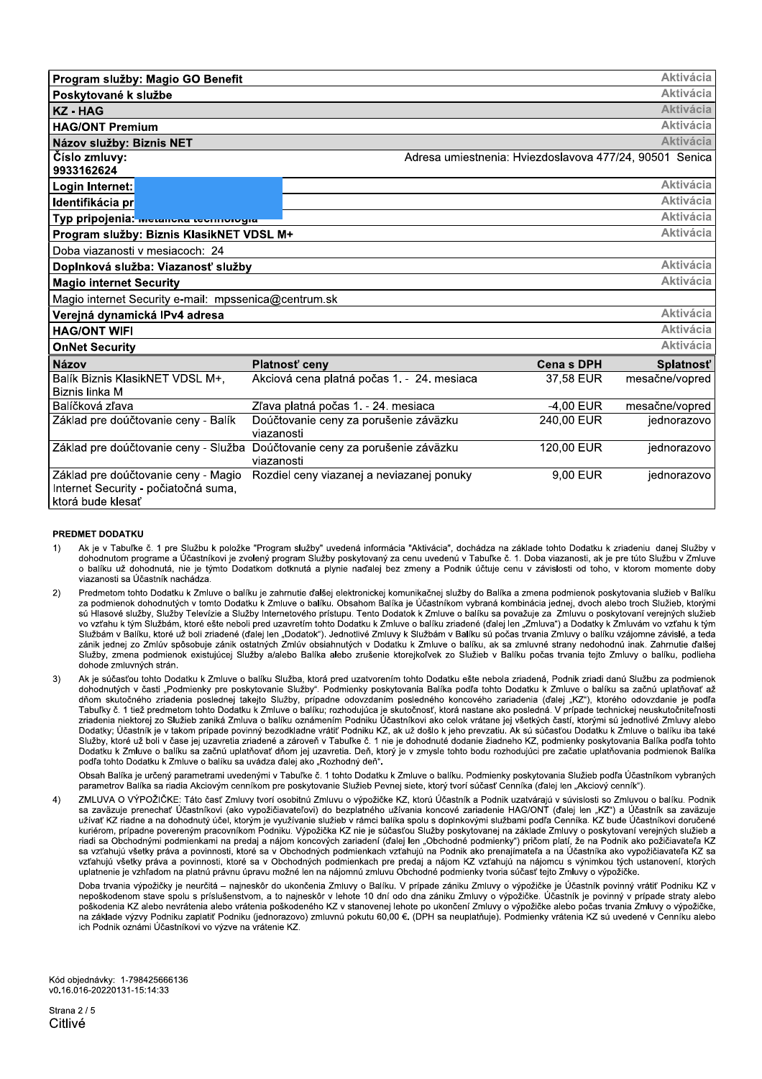| Program služby: Magio GO Benefit                                                                 |                                                     |                                                         | <b>Aktivácia</b> |
|--------------------------------------------------------------------------------------------------|-----------------------------------------------------|---------------------------------------------------------|------------------|
| Poskytované k službe                                                                             |                                                     |                                                         | <b>Aktivácia</b> |
| <b>KZ-HAG</b>                                                                                    |                                                     |                                                         | <b>Aktivácia</b> |
| <b>HAG/ONT Premium</b>                                                                           |                                                     |                                                         | <b>Aktivácia</b> |
| Názov služby: Biznis NET                                                                         |                                                     |                                                         | <b>Aktivácia</b> |
| Číslo zmluvy:                                                                                    |                                                     | Adresa umiestnenia: Hviezdoslavova 477/24, 90501 Senica |                  |
| 9933162624                                                                                       |                                                     |                                                         |                  |
| Login Internet:                                                                                  |                                                     |                                                         | <b>Aktivácia</b> |
| Identifikácia pr                                                                                 |                                                     |                                                         | <b>Aktivácia</b> |
| Typ pripojenia: metanona teomologia                                                              |                                                     |                                                         | <b>Aktivácia</b> |
| Program služby: Biznis KlasikNET VDSL M+                                                         |                                                     |                                                         | Aktivácia        |
| Doba viazanosti v mesiacoch: 24                                                                  |                                                     |                                                         |                  |
| Doplnková služba: Viazanosť služby                                                               |                                                     |                                                         | <b>Aktivácia</b> |
| <b>Magio internet Security</b>                                                                   |                                                     |                                                         | <b>Aktivácia</b> |
| Magio internet Security e-mail: mpssenica@centrum.sk                                             |                                                     |                                                         |                  |
| Verejná dynamická IPv4 adresa                                                                    |                                                     |                                                         | <b>Aktivácia</b> |
| <b>HAG/ONT WIFI</b>                                                                              |                                                     |                                                         | <b>Aktivácia</b> |
| <b>OnNet Security</b>                                                                            |                                                     |                                                         | <b>Aktivácia</b> |
| <b>Názov</b>                                                                                     | Platnosť ceny                                       | <b>Cenas DPH</b>                                        | Splatnosť        |
| Balík Biznis KlasikNET VDSL M+,                                                                  | Akciová cena platná počas 1. - 24. mesiaca          | 37,58 EUR                                               | mesačne/vopred   |
| Biznis linka M                                                                                   |                                                     |                                                         |                  |
| Balíčková zľava                                                                                  | Zľava platná počas 1. - 24. mesiaca                 | $-4,00$ EUR                                             | mesačne/vopred   |
| Základ pre doúčtovanie ceny - Balík                                                              | Doúčtovanie ceny za porušenie záväzku<br>viazanosti | 240,00 EUR                                              | jednorazovo      |
| Základ pre doúčtovanie ceny - Služba                                                             | Doúčtovanie ceny za porušenie záväzku<br>viazanosti | 120,00 EUR                                              | jednorazovo      |
| Základ pre doúčtovanie ceny - Magio<br>Internet Security - počiatočná suma,<br>ktorá bude klesať | Rozdiel ceny viazanej a neviazanej ponuky           | 9,00 EUR                                                | jednorazovo      |

#### PREDMET DODATKU

- Ak je v Tabuľke č. 1 pre Službu k položke "Program služby" uvedená informácia "Aktivácia" dochádza na základe tohto Dodatku k zriadeniu danej Služby v  $1)$ dohodnutom programe a Účastníkovi je zvolený program Služby poskytovaný za cenu uvedenú v Tabuľke č. 1. Doba viazanosti, ak je pre túto Službu v Zmluve s balíku už dohodnutá, nie je týmto Dodatkom dotknutá a plynie naďalej bez zmeny a Podnik účtuje cenu v závislosti od toho, v ktorom momente doby viazanosti sa Účastník nachádza
- $2)$ Predmetom tohto Dodatku k Zmluve o balíku je zahrnutie ďalšej elektronickej komunikačnej služby do Balíka a zmena podmienok poskytovania služieb v Balíku za podmienok dohodnutých v tomto Dodatku k Zmluve o balíku. Obsahom Balíka je Účastníkom vybraná kombinácia jednej, dvoch alebo troch Služieb, ktorými sú Hlasové služby, Služby Televízie a Služby Internetového prístupu. Tento Dodatok k Zmluve o balíku sa považuje za Zmluvu o poskytovaní verejných služieb vo vzťahu k tým Službám, ktoré ešte neboli pred uzavretím tohto Dodatku k Zmluve o balíku zriadené (ďalej len "Zmluva") a Dodatky k Zmluvám vo vzťahu k tým Službám v Balíku, ktoré už boli zriadené (ďalej len "Dodatok"). Jednotlivé Zmluvy k Službám v Balíku sú počas trvania Zmluvy o balíku vzájomne závislé, a teda zánik jednej zo Zmlúv spôsobuje zánik ostatných Zmlúv obsiahnutých v Dodatku k Zmluve o balíku, ak sa zmluvné strany nedohodnú inak. Zahrnutie ďalšej Služby, zmena podmienok existujúcej Služby a/alebo Balíka alebo zrušenie ktorejkoľvek zo Služieb v Balíku počas trvania tejto Zmluvy o balíku, podlieha dohode zmluvných strán.
- $3)$ Ak je súčasťou tohto Dodatku k Zmluve o balíku Služba, ktorá pred uzatvorením tohto Dodatku ešte nebola zriadená, Podnik zriadi danú Službu za podmienok dohodnutých v časti "Podmienky pre poskytovanie Služby". Podmienky poskytovania Balíka podľa tohto Dodatku k Zmluve o balíku sa začnú uplatňovať až dňom skutočného zriadenia poslednej takejto Služby, prípadne odovzdaním posledného koncového zariadenia (ďalej "KZ"), ktorého odovzdanie je podľa Tabuľky č. 1 tiež predmetom tohto Dodatku k Zmluve o balíku; rozhodujúca je skutočnosť, ktorá nastane ako posledná. V prípade technickej neuskutočniteľnosti zriadenia niektorej zo Služieb zaniká Zmluva o balíku oznámením Podniku Účastníkovi ako celok vrátane jej všetkých častí, ktorými sú jednotlivé Zmluvy alebo Dodatky; Účastník je v takom prípade povinný bezodkladne vrátiť Podniku KZ, ak už došlo k jeho prevzatiu. Ak sú súčasťou Dodatku k Zmluve o balíku iba také Služby, ktoré už boli v čase jej uzavretia zriadené a zároveň v Tabuľke č. 1 nie je dohodnuté dodanie žiadneho KZ, podmienky poskytovania Balíka podľa tohto Dodatku k Zmluve o balíku sa začnú uplatňovať dňom jej uzavretia. Deň, ktorý je v zmysle tohto bodu rozhodujúci pre začatie uplatňovania podmienok Balíka podľa tohto Dodatku k Zmluve o balíku sa uvádza ďalej ako "Rozhodný deň".

Obsah Balíka je určený parametrami uvedenými v Tabuľke č. 1 tohto Dodatku k Zmluve o balíku. Podmienky poskytovania Služieb podľa Účastníkom vybraných parametrov Balíka sa riadia Akciovým cenníkom pre poskytovanie Služieb Pevnej siete, ktorý tvorí súčasť Cenníka (ďalej len "Akciový cenník").

ZMLUVA O VÝPOŽIČKE: Táto časť Zmluvy tvorí osobitnú Zmluvu o výpožičke KZ, ktorú Účastník a Podnik uzatvárajú v súvislosti so Zmluvou o balíku. Podnik  $4)$ sa zaväzuje prenechať Účastníkovi (ako vypožičiavateľovi) do bezplatného užívania koncové zariadenie HAG/ONT (ďalej len "KZ") a Účastník sa zaväzuje užívať KZ riadne a na dohodnutý účel, ktorým je využívanie služieb v rámci balíka spolu s doplnkovými službami podľa Cenníka. KZ bude Účastníkovi doručené kuriérom, prípadne povereným pracovníkom Podniku. Výpožička KZ nie je súčasťou Služby poskytovanej na základe Zmluvy o poskytovaní verejných služieb a riadi sa Obchodnými podmienkami na predaj a nájom koncových zariadení (ďalej len "Obchodné podmienky") pričom platí, že na Podnik ako požičiavateľa KZ sa vzťahujú všetky práva a povinnosti, ktoré sa v Obchodných podmienkach vzťahujú na Podnik ako prenajímateľa a na Účastníka ako vypožičiavateľa KZ sa vzťahujú všetky práva a povinnosti, ktoré sa v Obchodných podmienkach pre predaj a nájom KZ vzťahujú na nájomcu s výnimkou tých ustanovení, ktorých uplatnenie je vzhľadom na platnú právnu úpravu možné len na nájomnú zmluvu Obchodné podmienky tvoria súčasť tejto Zmluvy o výpožičke.

Doba trvania výpožičky je neurčitá – najneskôr do ukončenia Zmluvy o Balíku. V prípade zániku Zmluvy o výpožičke je Účastník povinný vrátiť Podniku KZ v nepoškodenom stave spolu s príslušenstvom, a to najneskôr v lehote 10 dní odo dna zániku Zmluvy o výpožičke. Účastník je povinný v prípade straty alebo poškodenia KZ alebo nevrátenia alebo vrátenia poškodeného KZ v stanovenej lehote po ukončení Zmluvy o výpožičke alebo počas trvania Zmluvy o výpožičke, na základe výzvy Podniku zaplatiť Podniku (jednorazovo) zmluvnú pokutu 60,00 €. (DPH sa neuplatňuje). Podmienky vrátenia KZ sú uvedené v Čenníku alebo ich Podnik oznámi Účastníkovi vo výzve na vrátenie KZ.

Kód objednávky: 1-798425666136 v0.16.016-20220131-15:14:33

Strana 2 / 5 Citlivé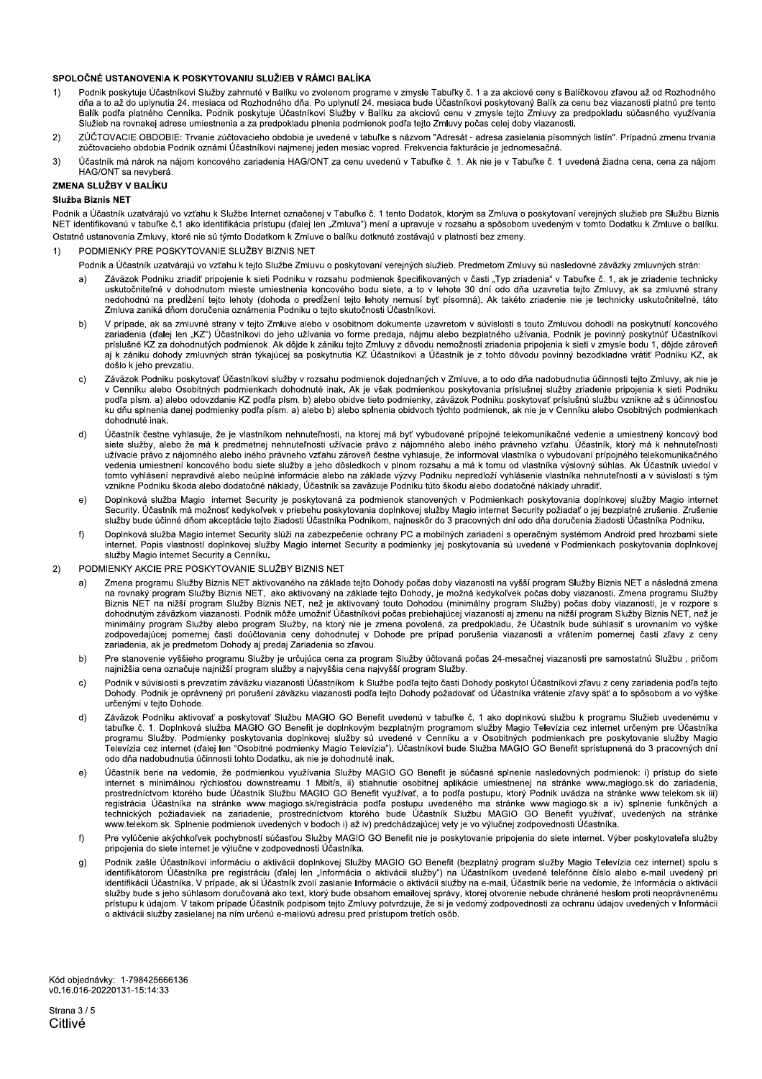#### SPOLOČNÉ USTANOVENIA K POSKYTOVANIU SLUŽIEB V RÁMCI BALÍKA

- Podnik poskytuje Účastníkovi Služby zahrnuté v Balíku vo zvolenom programe v zmysle Tabuľky č. 1 a za akciové ceny s Balíčkovou zľavou až od Rozhodného  $1)$ dňa a to až do uplynutia 24. mesiaca od Rozhodného dňa. Po uplynutí 24. mesiaca bude Účastníkovi poskytovaný Balík za cenu bez viazanosti platnú pre tento<br>Balík podľa platného Cenníka. Podnik poskytuje Účastníkovi Služby v Služieb na rovnakej adrese umiestnenia a za predpokladu plnenia podmienok podľa tejto Zmluvy počas celej doby viazanosti
- ZÚČTOVACIE OBDOBIE: Trvanie zúčtovacieho obdobia je uvedené v tabuľke s názvom "Adresát adresa zasielania písomných listín". Prípadnú zmenu trvania  $\overline{2}$ zúčtovacieho obdobia Podnik oznámi Účastníkovi najmenej jeden mesiac vopred. Frekvencia fakturácie je jednomesačná.
- Účastník má nárok na nájom koncového zariadenia HAG/ONT za cenu uvedenú v Tabuľke č. 1. Ak nie je v Tabuľke č. 1 uvedená žiadna cena, cena za nájom  $3)$ HAG/ONT sa nevyberá

#### ZMENA SLUŽBY V BALÍKU

#### Služba Biznis NFT

Podnik a Účastník uzatvárajú vo vzťahu k Službe Internet označenej v Tabuľke č. 1 tento Dodatok, ktorým sa Zmluva o poskytovaní verejných služieb pre Službu Biznis NET identifikovanú v tabuľke č.1 ako identifikácia prístupu (ďalej len "Zmluva") mení a upravuje v rozsahu a spôsobom uvedeným v tomto Dodatku k Zmluve o balíku. Ostatné ustanovenia Zmluvy, ktoré nie sú týmto Dodatkom k Zmluve o balíku dotknuté zostávajú v platnosti bez zmeny.

- PODMIENKY PRE POSKYTOVANIE SLUŽBY BIZNIS NET  $1)$ 
	- Podnik a Účastník uzatvárajú vo vzťahu k tejto Službe Zmluvu o poskytovaní verejných služieb. Predmetom Zmluvy sú nasledovné záväzky zmluvných strán:
		- Záväzok Podniku zriadiť pripojenie k sieti Podniku v rozsahu podmienok špecifikovaných v časti "Typ zriadenia" v Tabuľke č. 1, ak je zriadenie technicky uskutočniteľné v dohodnutom mieste umiestnenia koncového bodu siete, Zmluva zaniká dňom doručenia oznámenia Podniku o tejto skutočnosti Účastníkovi.
		- V prípade, ak sa zmluvné strany v tejto Zmluve alebo v osobitnom dokumente uzavretom v súvislosti s touto Zmluvou dohodli na poskytnutí koncového  $h)$ zariadenia (ďalej len "KZ") Účastníkovi do jeho užívania vo forme predaja, nájmu alebo bezplatného užívania, Podnik je povinný poskytnúť Účastníkovi príslušné KZ za dohodnutých podmienok. Ak dôjde k zániku tejto Zmluvy z dôvodu nemožnosti zriadenia pripojenia k sieti v zmysle bodu 1, dôjde zároveň aj k zániku dohody zmluvných strán týkajúcej sa poskytnutia KZ Účastníkovi a Účastník je z tohto dôvodu povinný bezodkladne vrátiť Podniku KZ, ak došlo k jeho prevzatju.
		- Záväzok Podniku poskytovať Účastníkovi služby v rozsahu podmienok dojednaných v Zmluve, a to odo dňa nadobudnutia účinnosti tejto Zmluvy, ak nie je<br>v Cenníku alebo Osobitných podmienkach dohodnuté inak. Ak je však podmienk  $\mathbf{C}$ podľa písm. a) alebo odovzdanie KZ podľa písm. b) alebo obidve tieto podmienky, záväzok Podniku poskytovať príslušnú službu vznikne až s účinnosťou ku dňu splnenia danej podmienky podľa písm. a) alebo b) alebo splnenia obidvoch týchto podmienok, ak nie je v Cenníku alebo Osobitných podmienkach dohodnuté inak
		- Účastník čestne vyhlasuje, že je vlastníkom nehnuteľnosti, na ktorej má byť vybudované prípojné telekomunikačné vedenie a umiestnený koncový bod  $d)$ siete služby, alebo že má k predmetnej nehnuteľnosti užívacie právo z nájomného alebo iného právneho vzťahu. Účastník, ktorý má k nehnuteľnosti užívacie právo z nájomného alebo iného právneho vzťahu zároveň čestne vyhlasuje, že informoval vlastníka o vybudovaní prípojného telekomunikačného vedenia umiestnení koncového bodu siete služby a jeho dôsledkoch v plnom ro tomto vyhlásení nepravdivé alebo neúplné informácie alebo na základe výzvy Podniku nepredloží vyhlásenie vlastníka nehnuteľnosti a v súvislosti s tým vznikne Podniku škoda alebo dodatočné náklady, Účastník sa zaväzuje Podniku túto škodu alebo dodatočné náklady uhradiť.
		- Doplnková služba Magio internet Security je poskytovaná za podmienok stanovených v Podmienkach poskytovania doplnkovej služby Magio internet  $\epsilon$ Security. Účastník má možnosť kedykoľvek v priebehu poskytovania doplnkovej služby Magio internet Security požiadať o jej bezplatné zrušenie. Zrušenie služby bude účinné dňom akceptácie tejto žiadosti Účastníka Podnikom, najneskôr do 3 pracovných dní odo dňa doručenia žiadosti Účastníka Podniku.
		- Doplnková služba Magio internet Security slúži na zabezpečenie ochrany PC a mobilných zariadení s operačným systémom Android pred hrozbami siete  $f$ ) Finance Contract Depis Vlastnosti doplnkovej služby Magio internet Security a podmienky jej poskytovania sú uvedené v Podmienkach poskytovania doplnkovej vlastností doplnkovej služby Magio internet Security a podmienky jej služby Magio internet Security a Cenníku.
- $2)$ PODMIENKY AKCIE PRE POSKYTOVANIE SLUŽBY BIZNIS NET
	- Zmena programu Služby Biznis NET aktivovaného na základe tejto Dohody počas doby viazanosti na vyšší program Služby Biznis NET a následná zmena  $a)$ na rovnaký program Služby Biznis NET, ako aktivovaný na základe tejto Dohody, je možná kedykoľvek počas doby viazanosti. Zmena programu Služby Biznis NET na nižší program Služby Biznis NET, než je aktivovaný touto Dohodou (minimálny program Služby) počas doby viazanosti, je v rozpore s dohodnutým záväzkom viazanosti. Podnik môže umožniť Účastníkovi počas prebiehajúcej viazanosti aj zmenu na nižší program Služby Biznis NET, než je minimálny program Služby alebo program Služby, na ktorý nie je zmena povolená, za predpokladu, že Účastník bude súhlasiť s urovnaním vo výške zodpovedajúcej pomernej časti doúčtovania ceny dohodnutej v Dohode pre prípad porušenia viazanosti a vrátením pomernej časti zľavy z ceny<br>zariadenia, ak je predmetom Dohody aj predaj Zariadenia so zľavou.
	- Pre stanovenie vyššieho programu Služby je určujúca cena za program Služby účtovaná počas 24-mesačnej viazanosti pre samostatnú Službu, pričom  $b)$ najnižšia cena označuje najnižší program služby a najvyššia cena najvyšší program Služby.
	- Podnik v súvislosti s prevzatím záväzku viazanosti Účastníkom k Službe podľa tejto časti Dohody poskytol Účastníkovi zľavu z ceny zariadenia podľa tejto  $\mathbf{c}$ Dohody. Podnik je oprávnený pri porušení záväzku viazanosti podľa tejto Dohody požadovať od Účastníka vrátenie zľavy späť a to spôsobom a vo výške určenými v teito Dohode.
	- Záväzok Podniku aktivovať a poskytovať Službu MAGIO GO Benefit uvedenú v tabuľke č. 1 ako doplnkovú službu k programu Služieb uvedenému v  $d)$ zavienia na ustavi se zasedne na uznačili je doplnkovým bezplatným programom služby Magio Televízia cez internet určeným pre Účastníka<br>programu Služby. Podmienky poskytovania doplnkovej služby sú uvedené v Cenníku a v Osob r elevízia cez internet (dalej len "Osobitné podmienky Magio Televízia"). Účastníkovi bude Služba MAGIO GO Benefit spristupnená do 3 pracovných dní odo dňa nadobudnutia účinnosti tohto Dodatku, ak nie je dohodnuté inak.
	- Účastník berie na vedomie, že podmienkou využívania Služby MAGIO GO Benefit je súčasné splnenie nasledovných podmienok: i) prístup do siete  $e)$ Statement s minimálnou rýchlosťou downstreamu 1 Mbit/s, ii) stiahnutie osobitnej aplikácie umiestnenej na stránke www.magiogo.sk do zariadenia,<br>prostredníctvom ktorého bude Účastník Službu MAGIO GO Benefit využívať, a to p
	- Pre vylúčenie akýchkoľvek pochybností súčasťou Služby MAGIO GO Benefit nie je poskytovanie pripojenia do siete internet. Výber poskytovateľa služby  $f$ pripojenia do siete internet je výlučne v zodpovednosti Účastníka
	- Podnik zašle Účastníkovi informáciu o aktivácii doplnkovej Služby MAGIO GO Benefit (bezplatný program služby Magio Televízia cez internet) spolu s  $q)$ identifikátorom Účastníka pre registráciu (ďalej len "Informácia o aktivácii služby") na Účastníkom uvedené telefónne číslo alebo e-mail uvedený pri<br>identifikácii Účastníka. V prípade, ak si Účastník zvolí zaslanie Informá nen innach rozasuma. V pripade účastník podpisom tejto Zmluvy potvrdzuje, že si je vedomý zodpovednosti za ochranu údajov uvedených v Informácii<br>Prístupu k údajom. V takom prípade Účastník podpisom tejto Zmluvy potvrdzuje, o aktivácii služby zasielanej na ním určenú e-mailovú adresu pred prístupom tretích osôb.

Kód objednávky: 1-798425666136 v0.16.016-20220131-15:14:33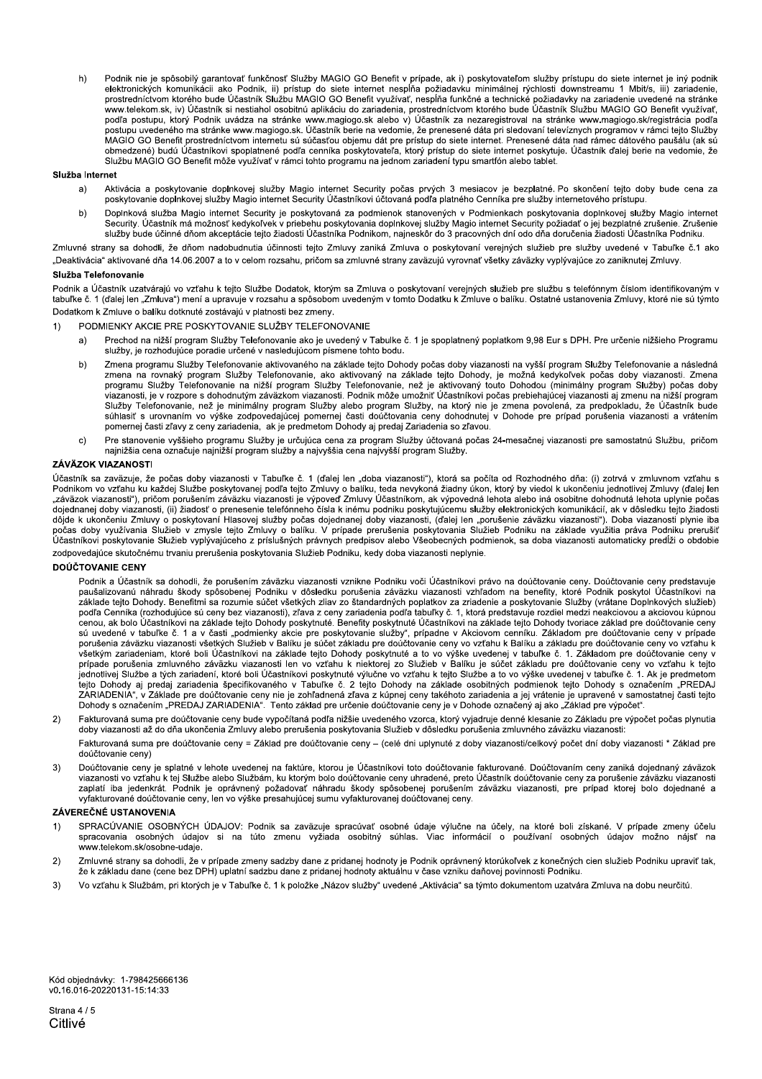Podnik nie je spôsobilý garantovať funkčnosť Služby MAGIO GO Benefit v prípade, ak i) poskytovateľom služby prístupu do siete internet je iný podnik  $h)$ elektronických komunikácii ako Podnik, ii) prístup do siete internet nespĺňa požiadavku minimálnej rýchlosti downstreamu 1 Mbit/s, iii) zariadenie, prostredníctvom ktorého bude Účastník Službu MAGIO GO Benefit využívať, ne www.telekom.sk, iv) Učastník si nestiahol osobitnú aplikáciu do zariadenia, prostredníctvom ktorého bude Účastník Službu MAGIO GO Benefit využívať,<br>podľa postupu, ktorý Podnik uvádza na stránke www.magiogo.sk alebo v) Účas postupu uvedeného ma stránke www.magiogo.sk. Účastník berie na vedomie, že prenesené dáta pri sledovaní televíznych programov v rámci tejto Služby MAGIO GO Benefit prostredníctvom internetu sú súčasťou objemu dát pre prístup do siete internet. Prenesené dáta nad rámec dátového paušálu (ak sú obmedzené) budú Účastníkovi spoplatnené podľa cenníka poskytovateľa, ktorý prístup do siete internet poskytuje. Účastník ďalej berie na vedomie, že Službu MAGIO GO Benefit môže využívať v rámci tohto programu na jednom zariadení typu smartfón alebo tablet.

#### Služba Internet

- Aktivácia a poskytovanie doplnkovej služby Magio internet Security počas prvých 3 mesiacov je bezplatné. Po skončení tejto doby bude cena za<br>poskytovanie doplnkovej služby Magio internet Security Účastníkovi účtovaná podľa  $a)$
- Doplnková služba Magio internet Security je poskytovaná za podmienok stanovených v Podmienkach poskytovania doplnkovej služby Magio internet  $b)$ Security. Účastník má možnosť kedykoľvek v priebehu poskytovania doplnkovej služby Magio internet Security požiadať o jej bezplatné zrušenie. Zrušenie služby bude účinné dňom akceptácie tejto žiadosti Účastníka Podnikom, najneskôr do 3 pracovných dní odo dňa doručenia žiadosti Účastníka Podniku.

Zmluvné strany sa dohodli, že dňom nadobudnutia účinnosti tejto Zmluvy zaniká Zmluva o poskytovaní verejných služieb pre služby uvedené v Tabuľke č.1 ako "Deaktivácia" aktivované dňa 14.06.2007 a to v celom rozsahu, pričom sa zmluvné strany zaväzujú vyrovnať všetky záväzky vyplývajúce zo zaniknutej Zmluvy.

#### Služba Telefonovanie

Podnik a Účastník uzatvárajú vo vzťahu k tejto Službe Dodatok, ktorým sa Zmluva o poskytovaní verejných služieb pre službu s telefónnym číslom identifikovaným v tabuľke č. 1 (ďalej len "Zmluva") mení a upravuje v rozsahu a spôsobom uvedeným v tomto Dodatku k Zmluve o balíku. Ostatné ustanovenia Zmluvy, ktoré nie sú týmto Dodatkom k Zmluve o balíku dotknuté zostávajú v platnosti bez zmeny.

- $1)$ PODMIENKY AKCIE PRE POSKYTOVANIE SLUŽBY TELEFONOVANIE
	- Prechod na nižší program Služby Telefonovanie ako je uvedený v Tabulke č. 1 je spoplatnený poplatkom 9,98 Eur s DPH. Pre určenie nižšieho Programu  $a)$ služby, je rozhodujúce poradie určené v nasledujúcom písmene tohto bodu.
	- Zmena programu Služby Telefonovanie aktivovaného na základe tejto Dohody počas doby viazanosti na vyšší program Služby Telefonovanie a následná<br>zmena na rovnaký program Služby Telefonovanie, ako aktivovaný na základe tejto  $h)$ programu Služby Telefonovanie na nižší program Služby Telefonovanie, než je aktivovaný touto Dohodou (minimálny program Služby) počas doby .<br>viazanosti, je v rozpore s dohodnutým záväzkom viazanosti. Podnik môže umožniť Účastníkovi počas prebiehajúcej viazanosti aj zmenu na nižší program Služby Telefonovanie, než je minimálny program Služby alebo program Služby, na ktorý nie je zmena povolená, za predpokladu, že Účastník bude súhlasiť s urovnaním vo výške zodpovedajúcej pomernej časti doučtovania ceny dohodnutej v Dohode pre prípad porušenia viazanosti a vrátením pomernej časti zľavy z ceny zariadenia, ak je predmetom Dohody aj predaj Zariadenia so zľavou.
	- Pre stanovenie vyššieho programu Služby je určujúca cena za program Služby účtovaná počas 24-mesačnej viazanosti pre samostatnú Službu, pričom<br>najnižšia cena označuje najnižší program služby a najvyššia cena najvyšší progr  $\mathbf{C}$

#### **ZÁVÄZOK VIAZANOSTI**

Účastník sa zaväzuje, že počas doby viazanosti v Tabuľke č. 1 (ďalej len "doba viazanosti"), ktorá sa počíta od Rozhodného dňa: (i) zotrvá v zmluvnom vzťahu s Podnikom vo vzťahu ku každej Službe poskytovanej podľa tejto Zmluvy o balíku, teda nevykoná žiadny úkon, ktorý by viedol k ukončeniu jednotlivej Zmluvy (ďalej len "záväzok viazanosti"), pričom porušením záväzku viazanosti je výpoveď Zmluvy Účastníkom, ak výpovedná lehota alebo iná osobitne dohodnutá lehota uplynie počas dojednanej doby viazanosti, (ii) žiadosť o prenesenie telefónneho čísla k inému podniku poskytujúcemu služby elektronických komunikácií, ak v dôsledku tejto žiadosti odjenianej oboj vlazanosti, in zladosti o prenesenie telefonicno usta w niemu podniku postyducemu suzby elekutnich podpisili končeniu Zmluty o poskytovaní Hlasovej služby počas doby využívania Služieb v zmysle tejpo zaklad zodpovedajúce skutočnému trvaniu prerušenia poskytovania Služieb Podniku, kedy doba viazanosti neplynie.

#### **DOÚČTOVANIE CENY**

Podnik a Účastník sa dohodli, že porušením záväzku viazanosti vznikne Podniku voči Účastníkovi právo na doúčtovanie ceny. Doúčtovanie ceny predstavuje paušalizovanú náhradu škody spôsobenej Podniku v dôsledku porušenia záväzku viazanosti vzhľadom na benefity, ktoré Podnik poskytol Účastníkovi na<br>Základe tejto Dohody. Benefitmi sa rozumie súčet všetkých zliav zo štandardn podľa Cenníka (rozhodujúce sú ceny bez viazanosti), zľava z ceny zariadenia podľa tabuľky č. 1. ktorá predstavuje rozdiel medzi neakciovou a akciovou kúpnou cencu, ak bolo Učastníkovi na základe tejto Dohody poskytnuté. Benefity poskytnuté Učastníkovi na základe tejto Dohody tvoriace základ pre doučtovanie ceny sú uvedené v tabuľke č. 1 a v časti "podmienky akcie pre poskytovanie služby", prípadne v Akciovom cenníku. Základom pre doúčtovanie ceny v prípade<br>porušenia záväzku viazanosti všetkých Služieb v Balíku je súčet základu pr všetkým zariadeniam, ktoré boli Účastníkovi na základe tejto Dohody poskytnuté a to vo výške uvedenej v tabuľke č. 1. Základom pre doučtovanie ceny v prípade porušenia zmluvného záväzku viazanosti len vo vzťahu k niektorej predactivnej Službe a tých zariadení, ktoré boli Účastníkovi poskytnuté výlučne vo vzťahu k tejto Službe a to vo výške uvedenej v tabuľke č. 1. Ak je predmetom<br>tejto Dohody aj predaj zariadenia špecifikovaného v Tabuľke č.

 $2)$ Fakturovaná suma pre doúčtovanie ceny bude vypočítaná podľa nižšie uvedeného vzorca, ktorý vyjadruje denné klesanie zo Základu pre výpočet počas plynutia doby viazanosti až do dňa ukončenia Zmluvy alebo prerušenia poskytovania Služieb v dôsledku porušenia zmluvného záväzku viazanosti:

Fakturovaná suma pre doúčtovanie ceny = Základ pre doúčtovanie ceny - (celé dni uplynuté z doby viazanosti/celkový počet dní doby viazanosti \* Základ pre doúčtovanie ceny)

Doúčtovanie ceny je splatné v lehote uvedenej na faktúre, ktorou je Účastníkovi toto doúčtovanie fakturované. Doúčtovaním ceny zaniká dojednaný záväzok  $3)$ Description of the Suite of Suite of the Suite of the Suite of the Community of the Construction of the Construction of the Suite of the Suite of the Suite of the Suite of the Suite of the Suite of the Suite of the Suite o zaplatí iba jedenkrát. Podnik je oprávnený požadovať náhradu škody spôsobenej porušením záväzku viazanosti, pre prípad ktorej bolo dojednané a vyfakturované doúčtovanie ceny, len vo výške presahujúcej sumu vyfakturovanej doúčtovanej ceny

#### ZÁVEREČNÉ USTANOVENIA

- SPRACÚVANIE OSOBNÝCH ÚDAJOV: Podnik sa zaväzuje spracúvať osobné údaje výlučne na účely, na ktoré boli získané. V prípade zmeny účelu  $1)$ spracovania osobných údajov si na túto zmenu vyžiada osobitný súhlas. Viac informácií o používaní osobných údajov možno nájsť na www.telekom.sk/osobne-udaie.
- $2)$ Zmluvné strany sa dohodli, že v prípade zmeny sadzby dane z pridanej hodnoty je Podnik oprávnený ktorúkoľvek z konečných cien služieb Podniku upraviť tak, ze k základu dane (cene bez DPH) uplatní sadzbu dane z pridanej hodnoty aktuálnu v čase vzniku daňovej povinnosti Podniku.
- $3)$ Vo vzťahu k Službám, pri ktorých je v Tabuľke č. 1 k položke "Názov služby" uvedené "Aktivácia" sa týmto dokumentom uzatvára Zmluva na dobu neurčitú.

Kód objednávky: 1-798425666136 v0.16.016-20220131-15:14:33

Strana 4 / 5 Citlivé